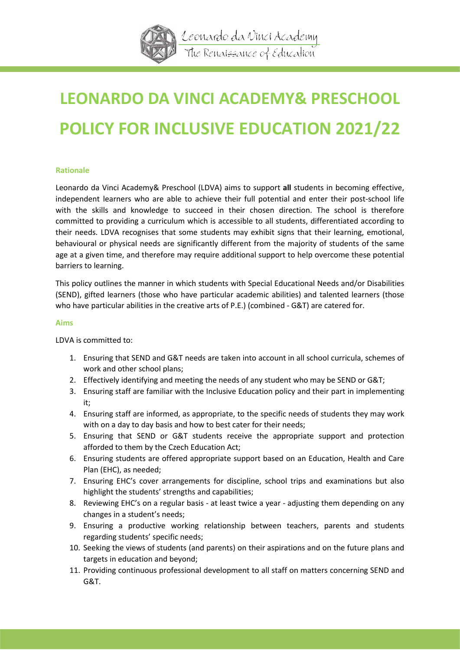

# **LEONARDO DA VINCI ACADEMY& PRESCHOOL POLICY FOR INCLUSIVE EDUCATION 2021/22**

# **Rationale**

Leonardo da Vinci Academy& Preschool (LDVA) aims to support **all** students in becoming effective, independent learners who are able to achieve their full potential and enter their post-school life with the skills and knowledge to succeed in their chosen direction. The school is therefore committed to providing a curriculum which is accessible to all students, differentiated according to their needs. LDVA recognises that some students may exhibit signs that their learning, emotional, behavioural or physical needs are significantly different from the majority of students of the same age at a given time, and therefore may require additional support to help overcome these potential barriers to learning.

This policy outlines the manner in which students with Special Educational Needs and/or Disabilities (SEND), gifted learners (those who have particular academic abilities) and talented learners (those who have particular abilities in the creative arts of P.E.) (combined - G&T) are catered for.

#### **Aims**

LDVA is committed to:

- 1. Ensuring that SEND and G&T needs are taken into account in all school curricula, schemes of work and other school plans;
- 2. Effectively identifying and meeting the needs of any student who may be SEND or G&T;
- 3. Ensuring staff are familiar with the Inclusive Education policy and their part in implementing it;
- 4. Ensuring staff are informed, as appropriate, to the specific needs of students they may work with on a day to day basis and how to best cater for their needs;
- 5. Ensuring that SEND or G&T students receive the appropriate support and protection afforded to them by the Czech Education Act;
- 6. Ensuring students are offered appropriate support based on an Education, Health and Care Plan (EHC), as needed;
- 7. Ensuring EHC's cover arrangements for discipline, school trips and examinations but also highlight the students' strengths and capabilities;
- 8. Reviewing EHC's on a regular basis at least twice a year adjusting them depending on any changes in a student's needs;
- 9. Ensuring a productive working relationship between teachers, parents and students regarding students' specific needs;
- 10. Seeking the views of students (and parents) on their aspirations and on the future plans and targets in education and beyond;
- 11. Providing continuous professional development to all staff on matters concerning SEND and G&T.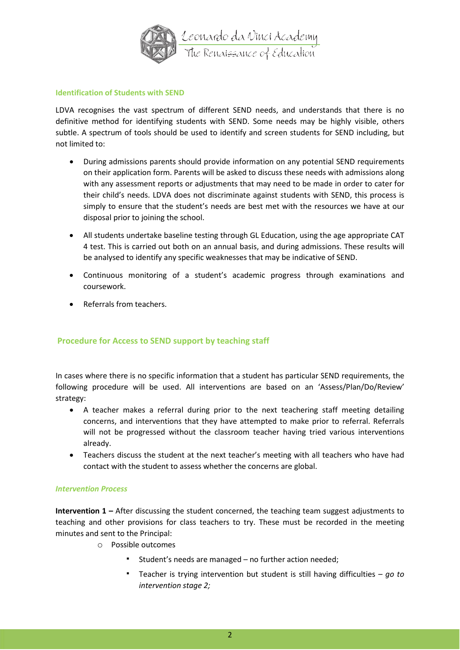

#### **Identification of Students with SEND**

LDVA recognises the vast spectrum of different SEND needs, and understands that there is no definitive method for identifying students with SEND. Some needs may be highly visible, others subtle. A spectrum of tools should be used to identify and screen students for SEND including, but not limited to:

- During admissions parents should provide information on any potential SEND requirements on their application form. Parents will be asked to discuss these needs with admissions along with any assessment reports or adjustments that may need to be made in order to cater for their child's needs. LDVA does not discriminate against students with SEND, this process is simply to ensure that the student's needs are best met with the resources we have at our disposal prior to joining the school.
- All students undertake baseline testing through GL Education, using the age appropriate CAT 4 test. This is carried out both on an annual basis, and during admissions. These results will be analysed to identify any specific weaknesses that may be indicative of SEND.
- Continuous monitoring of a student's academic progress through examinations and coursework.
- Referrals from teachers.

# **Procedure for Access to SEND support by teaching staff**

In cases where there is no specific information that a student has particular SEND requirements, the following procedure will be used. All interventions are based on an 'Assess/Plan/Do/Review' strategy:

- A teacher makes a referral during prior to the next teachering staff meeting detailing concerns, and interventions that they have attempted to make prior to referral. Referrals will not be progressed without the classroom teacher having tried various interventions already.
- Teachers discuss the student at the next teacher's meeting with all teachers who have had contact with the student to assess whether the concerns are global.

# *Intervention Process*

**Intervention 1 –** After discussing the student concerned, the teaching team suggest adjustments to teaching and other provisions for class teachers to try. These must be recorded in the meeting minutes and sent to the Principal:

- o Possible outcomes
	- Student's needs are managed no further action needed;
	- Teacher is trying intervention but student is still having difficulties *go to intervention stage 2;*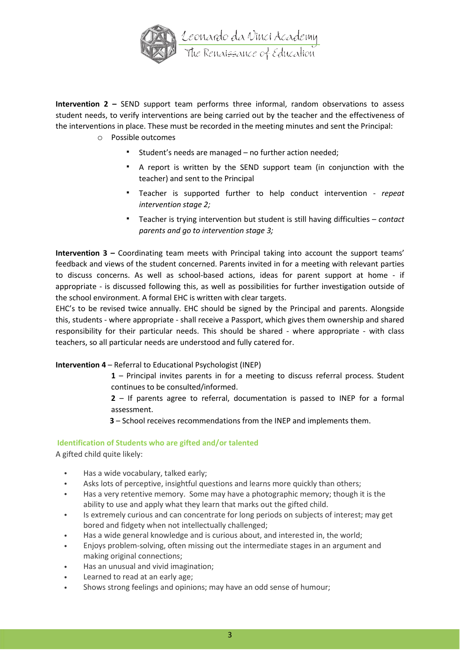

**Intervention 2 –** SEND support team performs three informal, random observations to assess student needs, to verify interventions are being carried out by the teacher and the effectiveness of the interventions in place. These must be recorded in the meeting minutes and sent the Principal:

- o Possible outcomes
	- Student's needs are managed no further action needed;
	- A report is written by the SEND support team (in conjunction with the teacher) and sent to the Principal
	- Teacher is supported further to help conduct intervention *repeat intervention stage 2;*
	- Teacher is trying intervention but student is still having difficulties *contact parents and go to intervention stage 3;*

**Intervention 3 –** Coordinating team meets with Principal taking into account the support teams' feedback and views of the student concerned. Parents invited in for a meeting with relevant parties to discuss concerns. As well as school-based actions, ideas for parent support at home - if appropriate - is discussed following this, as well as possibilities for further investigation outside of the school environment. A formal EHC is written with clear targets.

EHC's to be revised twice annually. EHC should be signed by the Principal and parents. Alongside this, students - where appropriate - shall receive a Passport, which gives them ownership and shared responsibility for their particular needs. This should be shared - where appropriate - with class teachers, so all particular needs are understood and fully catered for.

#### **Intervention 4** – Referral to Educational Psychologist (INEP)

- **1** Principal invites parents in for a meeting to discuss referral process. Student continues to be consulted/informed.
- **2** If parents agree to referral, documentation is passed to INEP for a formal assessment.
- **3** School receives recommendations from the INEP and implements them.

# **Identification of Students who are gifted and/or talented**

A gifted child quite likely:

- Has a wide vocabulary, talked early;
- Asks lots of perceptive, insightful questions and learns more quickly than others;
- Has a very retentive memory. Some may have a photographic memory; though it is the ability to use and apply what they learn that marks out the gifted child.
- Is extremely curious and can concentrate for long periods on subjects of interest; may get bored and fidgety when not intellectually challenged;
- Has a wide general knowledge and is curious about, and interested in, the world;
- Enjoys problem-solving, often missing out the intermediate stages in an argument and making original connections;
- Has an unusual and vivid imagination;
- Learned to read at an early age;
- Shows strong feelings and opinions; may have an odd sense of humour;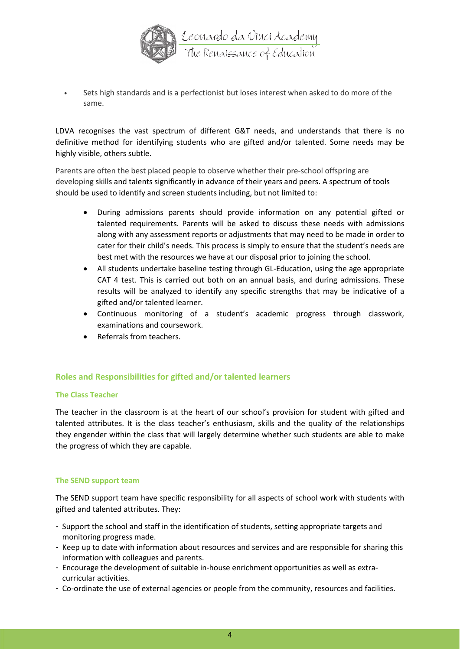

• Sets high standards and is a perfectionist but loses interest when asked to do more of the same.

LDVA recognises the vast spectrum of different G&T needs, and understands that there is no definitive method for identifying students who are gifted and/or talented. Some needs may be highly visible, others subtle.

Parents are often the best placed people to observe whether their pre-school offspring are developing skills and talents significantly in advance of their years and peers. A spectrum of tools should be used to identify and screen students including, but not limited to:

- During admissions parents should provide information on any potential gifted or talented requirements. Parents will be asked to discuss these needs with admissions along with any assessment reports or adjustments that may need to be made in order to cater for their child's needs. This process is simply to ensure that the student's needs are best met with the resources we have at our disposal prior to joining the school.
- All students undertake baseline testing through GL-Education, using the age appropriate CAT 4 test. This is carried out both on an annual basis, and during admissions. These results will be analyzed to identify any specific strengths that may be indicative of a gifted and/or talented learner.
- Continuous monitoring of a student's academic progress through classwork, examinations and coursework.
- Referrals from teachers.

#### **Roles and Responsibilities for gifted and/or talented learners**

#### **The Class Teacher**

The teacher in the classroom is at the heart of our school's provision for student with gifted and talented attributes. It is the class teacher's enthusiasm, skills and the quality of the relationships they engender within the class that will largely determine whether such students are able to make the progress of which they are capable.

#### **The SEND support team**

The SEND support team have specific responsibility for all aspects of school work with students with gifted and talented attributes. They:

- Support the school and staff in the identification of students, setting appropriate targets and monitoring progress made.
- Keep up to date with information about resources and services and are responsible for sharing this information with colleagues and parents.
- Encourage the development of suitable in-house enrichment opportunities as well as extracurricular activities.
- Co-ordinate the use of external agencies or people from the community, resources and facilities.